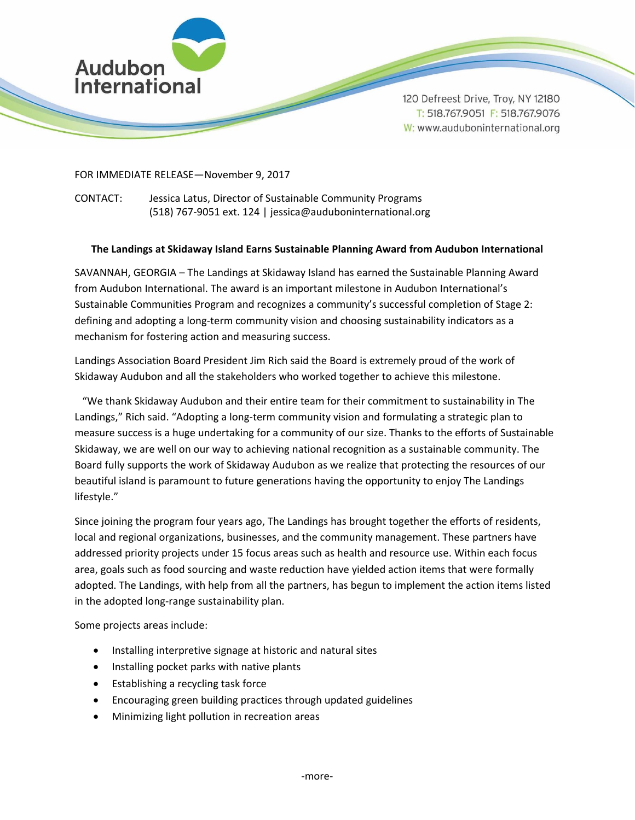

120 Defreest Drive, Troy, NY 12180 T: 518.767.9051 F: 518.767.9076 W: www.auduboninternational.org

## FOR IMMEDIATE RELEASE—November 9, 2017

CONTACT: Jessica Latus, Director of Sustainable Community Programs (518) 767-9051 ext. 124 | jessica@auduboninternational.org

## **The Landings at Skidaway Island Earns Sustainable Planning Award from Audubon International**

SAVANNAH, GEORGIA – The Landings at Skidaway Island has earned the Sustainable Planning Award from Audubon International. The award is an important milestone in Audubon International's Sustainable Communities Program and recognizes a community's successful completion of Stage 2: defining and adopting a long-term community vision and choosing sustainability indicators as a mechanism for fostering action and measuring success.

Landings Association Board President Jim Rich said the Board is extremely proud of the work of Skidaway Audubon and all the stakeholders who worked together to achieve this milestone.

 "We thank Skidaway Audubon and their entire team for their commitment to sustainability in The Landings," Rich said. "Adopting a long-term community vision and formulating a strategic plan to measure success is a huge undertaking for a community of our size. Thanks to the efforts of Sustainable Skidaway, we are well on our way to achieving national recognition as a sustainable community. The Board fully supports the work of Skidaway Audubon as we realize that protecting the resources of our beautiful island is paramount to future generations having the opportunity to enjoy The Landings lifestyle."

Since joining the program four years ago, The Landings has brought together the efforts of residents, local and regional organizations, businesses, and the community management. These partners have addressed priority projects under 15 focus areas such as health and resource use. Within each focus area, goals such as food sourcing and waste reduction have yielded action items that were formally adopted. The Landings, with help from all the partners, has begun to implement the action items listed in the adopted long-range sustainability plan.

Some projects areas include:

- Installing interpretive signage at historic and natural sites
- Installing pocket parks with native plants
- Establishing a recycling task force
- Encouraging green building practices through updated guidelines
- Minimizing light pollution in recreation areas